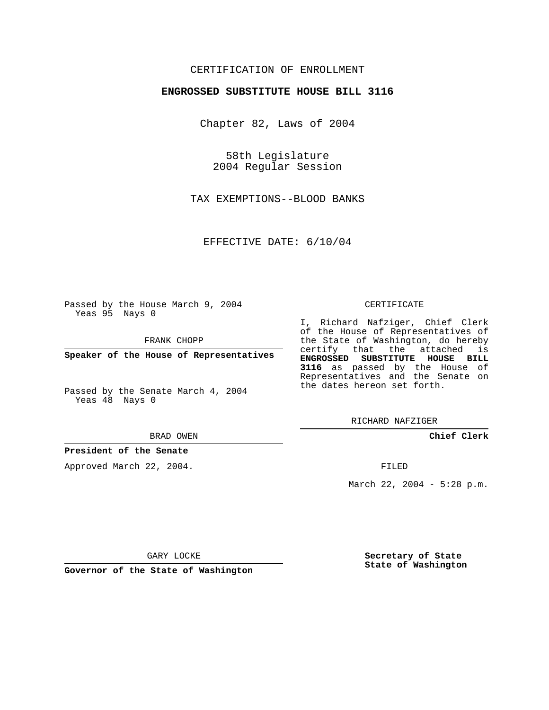## CERTIFICATION OF ENROLLMENT

#### **ENGROSSED SUBSTITUTE HOUSE BILL 3116**

Chapter 82, Laws of 2004

58th Legislature 2004 Regular Session

TAX EXEMPTIONS--BLOOD BANKS

EFFECTIVE DATE: 6/10/04

Passed by the House March 9, 2004 Yeas 95 Nays 0

FRANK CHOPP

**Speaker of the House of Representatives**

Passed by the Senate March 4, 2004 Yeas 48 Nays 0

#### BRAD OWEN

### **President of the Senate**

Approved March 22, 2004.

#### CERTIFICATE

I, Richard Nafziger, Chief Clerk of the House of Representatives of the State of Washington, do hereby certify that the attached is **ENGROSSED SUBSTITUTE HOUSE BILL 3116** as passed by the House of Representatives and the Senate on the dates hereon set forth.

RICHARD NAFZIGER

**Chief Clerk**

FILED

March 22, 2004 - 5:28 p.m.

GARY LOCKE

**Governor of the State of Washington**

**Secretary of State State of Washington**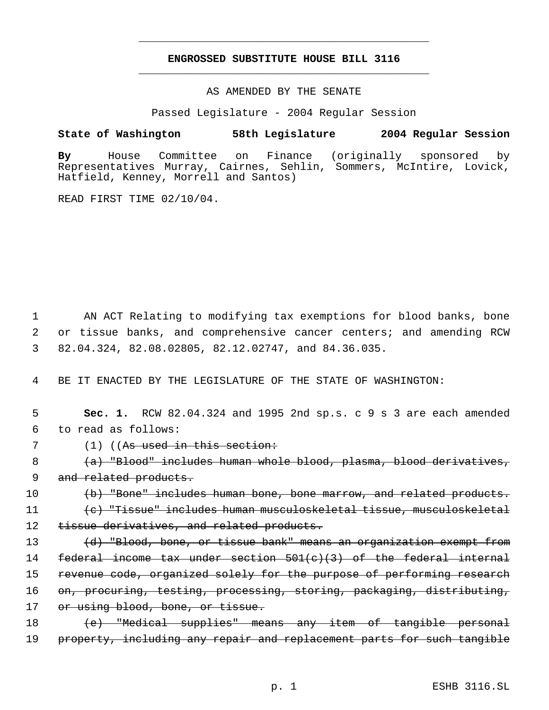# **ENGROSSED SUBSTITUTE HOUSE BILL 3116** \_\_\_\_\_\_\_\_\_\_\_\_\_\_\_\_\_\_\_\_\_\_\_\_\_\_\_\_\_\_\_\_\_\_\_\_\_\_\_\_\_\_\_\_\_

\_\_\_\_\_\_\_\_\_\_\_\_\_\_\_\_\_\_\_\_\_\_\_\_\_\_\_\_\_\_\_\_\_\_\_\_\_\_\_\_\_\_\_\_\_

AS AMENDED BY THE SENATE

Passed Legislature - 2004 Regular Session

## **State of Washington 58th Legislature 2004 Regular Session**

**By** House Committee on Finance (originally sponsored by Representatives Murray, Cairnes, Sehlin, Sommers, McIntire, Lovick, Hatfield, Kenney, Morrell and Santos)

READ FIRST TIME 02/10/04.

 1 AN ACT Relating to modifying tax exemptions for blood banks, bone 2 or tissue banks, and comprehensive cancer centers; and amending RCW 3 82.04.324, 82.08.02805, 82.12.02747, and 84.36.035.

4 BE IT ENACTED BY THE LEGISLATURE OF THE STATE OF WASHINGTON:

|                       | <b>Sec. 1.</b> RCW $82.04.324$ and 1995 2nd sp.s. c 9 s 3 are each amended |  |  |  |  |  |  |
|-----------------------|----------------------------------------------------------------------------|--|--|--|--|--|--|
| 6 to read as follows: |                                                                            |  |  |  |  |  |  |

7 (1) ((As used in this section:

8 (a) "Blood" includes human whole blood, plasma, blood derivatives, 9 and related products.

10 (b) "Bone" includes human bone, bone marrow, and related products. 11 (c) "Tissue" includes human musculoskeletal tissue, musculoskeletal 12 tissue derivatives, and related products.

13 (d) "Blood, bone, or tissue bank" means an organization exempt from 14 federal income tax under section  $501(c)(3)$  of the federal internal 15 revenue code, organized solely for the purpose of performing research 16 on, procuring, testing, processing, storing, packaging, distributing, 17 or using blood, bone, or tissue.

18 (e) "Medical supplies" means any item of tangible personal 19 property, including any repair and replacement parts for such tangible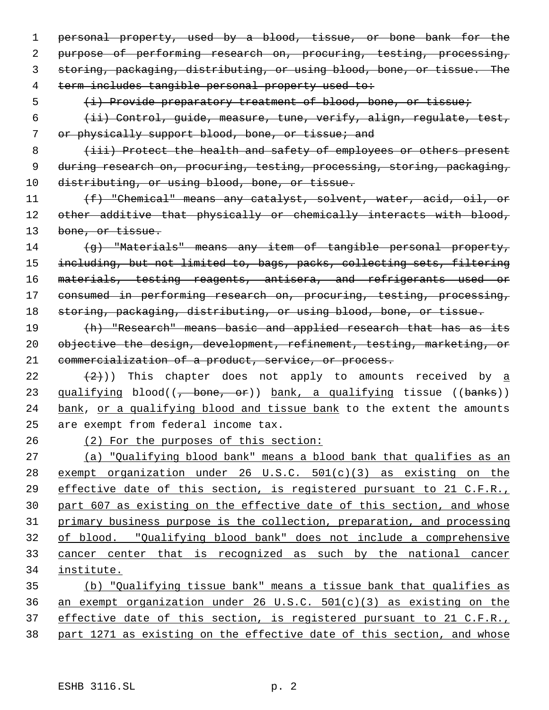personal property, used by a blood, tissue, or bone bank for the purpose of performing research on, procuring, testing, processing, storing, packaging, distributing, or using blood, bone, or tissue. The term includes tangible personal property used to:

5 (i) Provide preparatory treatment of blood, bone, or tissue;

 (ii) Control, guide, measure, tune, verify, align, regulate, test, or physically support blood, bone, or tissue; and

8 (iii) Protect the health and safety of employees or others present during research on, procuring, testing, processing, storing, packaging, 10 distributing, or using blood, bone, or tissue.

11 (f) "Chemical" means any catalyst, solvent, water, acid, oil, or 12 other additive that physically or chemically interacts with blood, 13 bone, or tissue.

 (g) "Materials" means any item of tangible personal property, including, but not limited to, bags, packs, collecting sets, filtering materials, testing reagents, antisera, and refrigerants used or 17 consumed in performing research on, procuring, testing, processing, 18 storing, packaging, distributing, or using blood, bone, or tissue.

19 (h) "Research" means basic and applied research that has as its objective the design, development, refinement, testing, marketing, or commercialization of a product, service, or process.

22  $(2)$ )) This chapter does not apply to amounts received by  $\underline{a}$ 23 qualifying blood((, bone, or)) bank, a qualifying tissue ((banks)) 24 bank, or a qualifying blood and tissue bank to the extent the amounts are exempt from federal income tax.

(2) For the purposes of this section:

 (a) "Qualifying blood bank" means a blood bank that qualifies as an exempt organization under 26 U.S.C. 501(c)(3) as existing on the effective date of this section, is registered pursuant to 21 C.F.R., part 607 as existing on the effective date of this section, and whose primary business purpose is the collection, preparation, and processing of blood. "Qualifying blood bank" does not include a comprehensive cancer center that is recognized as such by the national cancer institute.

 (b) "Qualifying tissue bank" means a tissue bank that qualifies as an exempt organization under 26 U.S.C. 501(c)(3) as existing on the 37 effective date of this section, is registered pursuant to 21 C.F.R., part 1271 as existing on the effective date of this section, and whose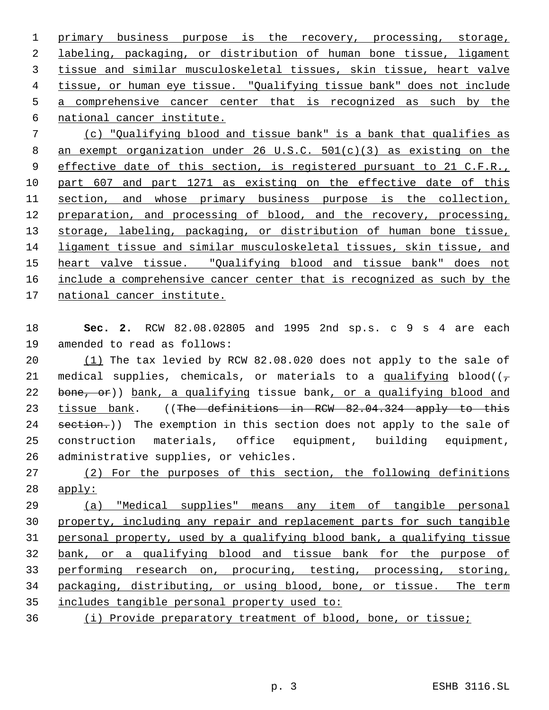1 primary business purpose is the recovery, processing, storage, labeling, packaging, or distribution of human bone tissue, ligament tissue and similar musculoskeletal tissues, skin tissue, heart valve tissue, or human eye tissue. "Qualifying tissue bank" does not include a comprehensive cancer center that is recognized as such by the national cancer institute.

 (c) "Qualifying blood and tissue bank" is a bank that qualifies as an exempt organization under 26 U.S.C. 501(c)(3) as existing on the 9 effective date of this section, is registered pursuant to 21 C.F.R., part 607 and part 1271 as existing on the effective date of this section, and whose primary business purpose is the collection, preparation, and processing of blood, and the recovery, processing, storage, labeling, packaging, or distribution of human bone tissue, ligament tissue and similar musculoskeletal tissues, skin tissue, and 15 heart valve tissue. "Qualifying blood and tissue bank" does not 16 include a comprehensive cancer center that is recognized as such by the national cancer institute.

 **Sec. 2.** RCW 82.08.02805 and 1995 2nd sp.s. c 9 s 4 are each amended to read as follows:

 (1) The tax levied by RCW 82.08.020 does not apply to the sale of 21 medical supplies, chemicals, or materials to a qualifying blood( $(\tau)$ 22 bone, or)) bank, a qualifying tissue bank, or a qualifying blood and 23 tissue bank. ((The definitions in RCW 82.04.324 apply to this 24 section.)) The exemption in this section does not apply to the sale of construction materials, office equipment, building equipment, administrative supplies, or vehicles.

 (2) For the purposes of this section, the following definitions apply:

 (a) "Medical supplies" means any item of tangible personal property, including any repair and replacement parts for such tangible personal property, used by a qualifying blood bank, a qualifying tissue bank, or a qualifying blood and tissue bank for the purpose of performing research on, procuring, testing, processing, storing, packaging, distributing, or using blood, bone, or tissue. The term includes tangible personal property used to:

(i) Provide preparatory treatment of blood, bone, or tissue;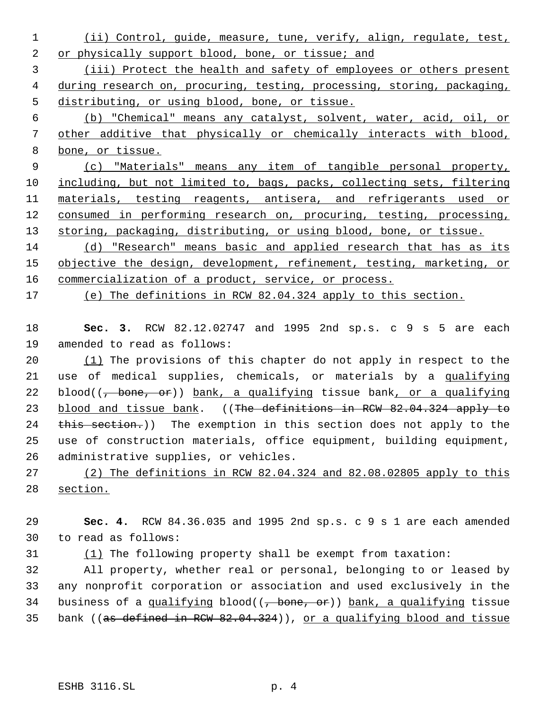- (ii) Control, guide, measure, tune, verify, align, regulate, test, or physically support blood, bone, or tissue; and
- (iii) Protect the health and safety of employees or others present 4 during research on, procuring, testing, processing, storing, packaging, distributing, or using blood, bone, or tissue.
- (b) "Chemical" means any catalyst, solvent, water, acid, oil, or other additive that physically or chemically interacts with blood, bone, or tissue.
- (c) "Materials" means any item of tangible personal property, 10 including, but not limited to, bags, packs, collecting sets, filtering 11 materials, testing reagents, antisera, and refrigerants used or 12 consumed in performing research on, procuring, testing, processing, 13 storing, packaging, distributing, or using blood, bone, or tissue.
- (d) "Research" means basic and applied research that has as its 15 objective the design, development, refinement, testing, marketing, or 16 commercialization of a product, service, or process.
- (e) The definitions in RCW 82.04.324 apply to this section.
- **Sec. 3.** RCW 82.12.02747 and 1995 2nd sp.s. c 9 s 5 are each amended to read as follows:
- (1) The provisions of this chapter do not apply in respect to the 21 use of medical supplies, chemicals, or materials by a qualifying 22 blood( $(-\text{bone}, \text{or})$ ) bank, a qualifying tissue bank, or a qualifying 23 blood and tissue bank. ((The definitions in RCW 82.04.324 apply to 24 this section.)) The exemption in this section does not apply to the use of construction materials, office equipment, building equipment, administrative supplies, or vehicles.
- (2) The definitions in RCW 82.04.324 and 82.08.02805 apply to this section.
- **Sec. 4.** RCW 84.36.035 and 1995 2nd sp.s. c 9 s 1 are each amended to read as follows:
- (1) The following property shall be exempt from taxation:

 All property, whether real or personal, belonging to or leased by any nonprofit corporation or association and used exclusively in the 34 business of a qualifying blood( $\overline{(-)}$  bone, or)) bank, a qualifying tissue 35 bank ((as defined in RCW 82.04.324)), or a qualifying blood and tissue